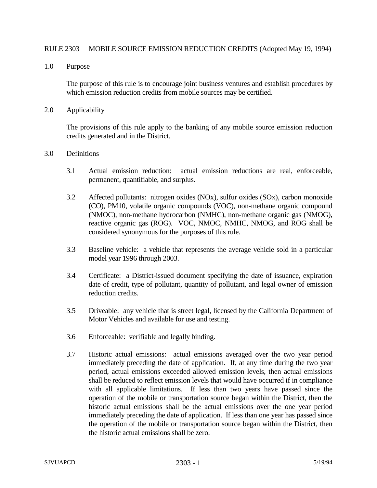## RULE 2303 MOBILE SOURCE EMISSION REDUCTION CREDITS (Adopted May 19, 1994)

1.0 Purpose

The purpose of this rule is to encourage joint business ventures and establish procedures by which emission reduction credits from mobile sources may be certified.

2.0 Applicability

The provisions of this rule apply to the banking of any mobile source emission reduction credits generated and in the District.

- 3.0 Definitions
	- 3.1 Actual emission reduction: actual emission reductions are real, enforceable, permanent, quantifiable, and surplus.
	- 3.2 Affected pollutants: nitrogen oxides (NOx), sulfur oxides (SOx), carbon monoxide (CO), PM10, volatile organic compounds (VOC), non-methane organic compound (NMOC), non-methane hydrocarbon (NMHC), non-methane organic gas (NMOG), reactive organic gas (ROG). VOC, NMOC, NMHC, NMOG, and ROG shall be considered synonymous for the purposes of this rule.
	- 3.3 Baseline vehicle: a vehicle that represents the average vehicle sold in a particular model year 1996 through 2003.
	- 3.4 Certificate: a District-issued document specifying the date of issuance, expiration date of credit, type of pollutant, quantity of pollutant, and legal owner of emission reduction credits.
	- 3.5 Driveable: any vehicle that is street legal, licensed by the California Department of Motor Vehicles and available for use and testing.
	- 3.6 Enforceable: verifiable and legally binding.
	- 3.7 Historic actual emissions: actual emissions averaged over the two year period immediately preceding the date of application. If, at any time during the two year period, actual emissions exceeded allowed emission levels, then actual emissions shall be reduced to reflect emission levels that would have occurred if in compliance with all applicable limitations. If less than two years have passed since the operation of the mobile or transportation source began within the District, then the historic actual emissions shall be the actual emissions over the one year period immediately preceding the date of application. If less than one year has passed since the operation of the mobile or transportation source began within the District, then the historic actual emissions shall be zero.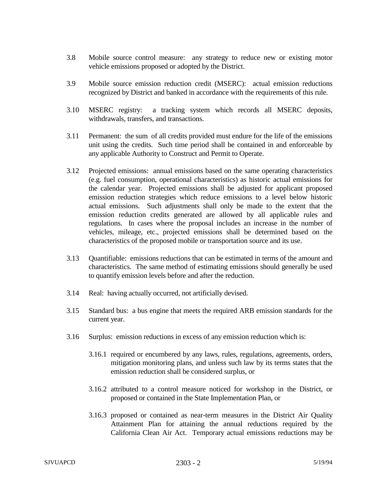- 3.8 Mobile source control measure: any strategy to reduce new or existing motor vehicle emissions proposed or adopted by the District.
- 3.9 Mobile source emission reduction credit (MSERC): actual emission reductions recognized by District and banked in accordance with the requirements of this rule.
- 3.10 MSERC registry: a tracking system which records all MSERC deposits, withdrawals, transfers, and transactions.
- 3.11 Permanent: the sum of all credits provided must endure for the life of the emissions unit using the credits. Such time period shall be contained in and enforceable by any applicable Authority to Construct and Permit to Operate.
- 3.12 Projected emissions: annual emissions based on the same operating characteristics (e.g. fuel consumption, operational characteristics) as historic actual emissions for the calendar year. Projected emissions shall be adjusted for applicant proposed emission reduction strategies which reduce emissions to a level below historic actual emissions. Such adjustments shall only be made to the extent that the emission reduction credits generated are allowed by all applicable rules and regulations. In cases where the proposal includes an increase in the number of vehicles, mileage, etc., projected emissions shall be determined based on the characteristics of the proposed mobile or transportation source and its use.
- 3.13 Quantifiable: emissions reductions that can be estimated in terms of the amount and characteristics. The same method of estimating emissions should generally be used to quantify emission levels before and after the reduction.
- 3.14 Real: having actually occurred, not artificially devised.
- 3.15 Standard bus: a bus engine that meets the required ARB emission standards for the current year.
- 3.16 Surplus: emission reductions in excess of any emission reduction which is:
	- 3.16.1 required or encumbered by any laws, rules, regulations, agreements, orders, mitigation monitoring plans, and unless such law by its terms states that the emission reduction shall be considered surplus, or
	- 3.16.2 attributed to a control measure noticed for workshop in the District, or proposed or contained in the State Implementation Plan, or
	- 3.16.3 proposed or contained as near-term measures in the District Air Quality Attainment Plan for attaining the annual reductions required by the California Clean Air Act. Temporary actual emissions reductions may be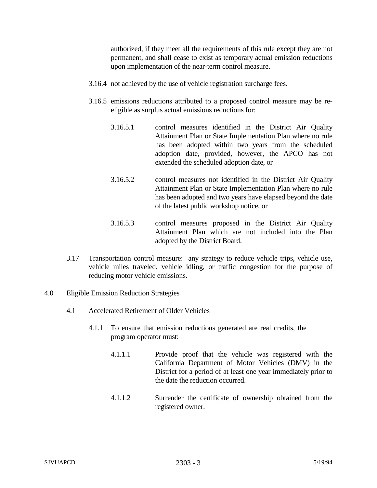authorized, if they meet all the requirements of this rule except they are not permanent, and shall cease to exist as temporary actual emission reductions upon implementation of the near-term control measure.

- 3.16.4 not achieved by the use of vehicle registration surcharge fees.
- 3.16.5 emissions reductions attributed to a proposed control measure may be reeligible as surplus actual emissions reductions for:
	- 3.16.5.1 control measures identified in the District Air Quality Attainment Plan or State Implementation Plan where no rule has been adopted within two years from the scheduled adoption date, provided, however, the APCO has not extended the scheduled adoption date, or
	- 3.16.5.2 control measures not identified in the District Air Quality Attainment Plan or State Implementation Plan where no rule has been adopted and two years have elapsed beyond the date of the latest public workshop notice, or
	- 3.16.5.3 control measures proposed in the District Air Quality Attainment Plan which are not included into the Plan adopted by the District Board.
- 3.17 Transportation control measure: any strategy to reduce vehicle trips, vehicle use, vehicle miles traveled, vehicle idling, or traffic congestion for the purpose of reducing motor vehicle emissions.
- 4.0 Eligible Emission Reduction Strategies
	- 4.1 Accelerated Retirement of Older Vehicles
		- 4.1.1 To ensure that emission reductions generated are real credits, the program operator must:
			- 4.1.1.1 Provide proof that the vehicle was registered with the California Department of Motor Vehicles (DMV) in the District for a period of at least one year immediately prior to the date the reduction occurred.
			- 4.1.1.2 Surrender the certificate of ownership obtained from the registered owner.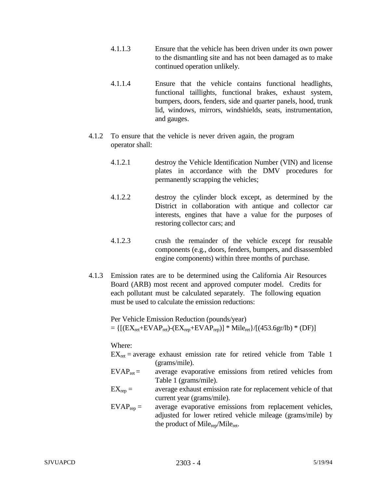- 4.1.1.3 Ensure that the vehicle has been driven under its own power to the dismantling site and has not been damaged as to make continued operation unlikely.
- 4.1.1.4 Ensure that the vehicle contains functional headlights, functional taillights, functional brakes, exhaust system, bumpers, doors, fenders, side and quarter panels, hood, trunk lid, windows, mirrors, windshields, seats, instrumentation, and gauges.
- 4.1.2 To ensure that the vehicle is never driven again, the program operator shall:
	- 4.1.2.1 destroy the Vehicle Identification Number (VIN) and license plates in accordance with the DMV procedures for permanently scrapping the vehicles;
	- 4.1.2.2 destroy the cylinder block except, as determined by the District in collaboration with antique and collector car interests, engines that have a value for the purposes of restoring collector cars; and
	- 4.1.2.3 crush the remainder of the vehicle except for reusable components (e.g., doors, fenders, bumpers, and disassembled engine components) within three months of purchase.
- 4.1.3 Emission rates are to be determined using the California Air Resources Board (ARB) most recent and approved computer model. Credits for each pollutant must be calculated separately. The following equation must be used to calculate the emission reductions:

Per Vehicle Emission Reduction (pounds/year)  $= \{[(EX_{ret}+EVAP_{ret})-(EX_{rep}+EVAP_{rep})] * Mile_{ret}\}/[(453.6gr/lb) * (DF)]$ 

## Where:

 $EX_{\text{ret}} = \text{average}$  exhaust emission rate for retired vehicle from Table 1 (grams/mile).

- $EVAR<sub>ret</sub>$  = average evaporative emissions from retired vehicles from Table 1 (grams/mile).
- $EX_{ren} =$  average exhaust emission rate for replacement vehicle of that current year (grams/mile).
- $EVAR<sub>rep</sub> =$  average evaporative emissions from replacement vehicles, adjusted for lower retired vehicle mileage (grams/mile) by the product of Mile<sub>ret</sub>.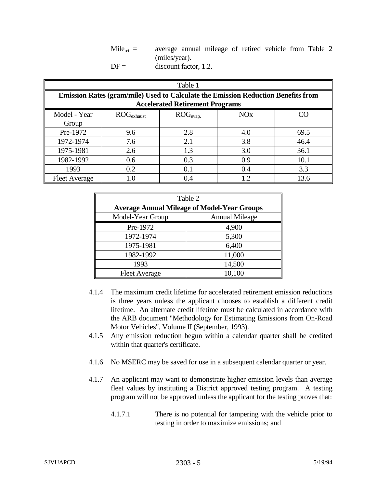$Mile<sub>ret</sub>$  = average annual mileage of retired vehicle from Table 2 (miles/year).  $DF =$  discount factor, 1.2.

| Table 1                                                                                                                            |                                                                                           |     |     |      |  |  |  |
|------------------------------------------------------------------------------------------------------------------------------------|-------------------------------------------------------------------------------------------|-----|-----|------|--|--|--|
| <b>Emission Rates (gram/mile) Used to Calculate the Emission Reduction Benefits from</b><br><b>Accelerated Retirement Programs</b> |                                                                                           |     |     |      |  |  |  |
| Model - Year<br>Group                                                                                                              | $\text{ROG}_{\text{evap.}}$<br><b>NO<sub>x</sub></b><br>$\mathrm{ROG}_{\mathrm{exhaust}}$ |     |     |      |  |  |  |
| Pre-1972                                                                                                                           | 9.6                                                                                       | 2.8 | 4.0 | 69.5 |  |  |  |
| 1972-1974                                                                                                                          | 7.6                                                                                       | 2.1 | 3.8 | 46.4 |  |  |  |
| 1975-1981                                                                                                                          | 2.6                                                                                       | 1.3 | 3.0 | 36.1 |  |  |  |
| 1982-1992                                                                                                                          | 0.6                                                                                       | 0.3 | 0.9 | 10.1 |  |  |  |
| 1993                                                                                                                               | 0.2                                                                                       | 0.1 | 0.4 | 3.3  |  |  |  |
| <b>Fleet Average</b>                                                                                                               |                                                                                           | 0.4 | 1.2 | 13.6 |  |  |  |

| Table 2                                            |        |  |  |
|----------------------------------------------------|--------|--|--|
| <b>Average Annual Mileage of Model-Year Groups</b> |        |  |  |
| Model-Year Group<br><b>Annual Mileage</b>          |        |  |  |
| Pre-1972                                           | 4,900  |  |  |
| 1972-1974                                          | 5,300  |  |  |
| 1975-1981                                          | 6,400  |  |  |
| 1982-1992                                          | 11,000 |  |  |
| 1993                                               | 14,500 |  |  |
| <b>Fleet Average</b>                               | 10,100 |  |  |

- 4.1.4 The maximum credit lifetime for accelerated retirement emission reductions is three years unless the applicant chooses to establish a different credit lifetime. An alternate credit lifetime must be calculated in accordance with the ARB document "Methodology for Estimating Emissions from On-Road Motor Vehicles", Volume II (September, 1993).
- 4.1.5 Any emission reduction begun within a calendar quarter shall be credited within that quarter's certificate.
- 4.1.6 No MSERC may be saved for use in a subsequent calendar quarter or year.
- 4.1.7 An applicant may want to demonstrate higher emission levels than average fleet values by instituting a District approved testing program. A testing program will not be approved unless the applicant for the testing proves that:
	- 4.1.7.1 There is no potential for tampering with the vehicle prior to testing in order to maximize emissions; and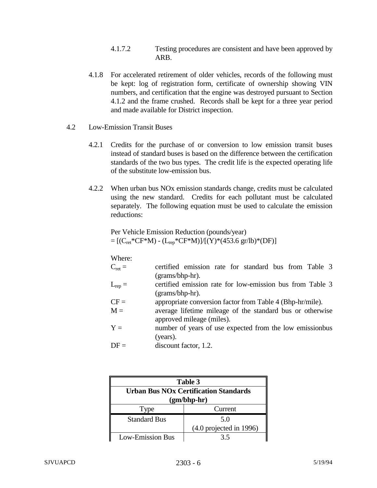- 4.1.7.2 Testing procedures are consistent and have been approved by ARB.
- 4.1.8 For accelerated retirement of older vehicles, records of the following must be kept: log of registration form, certificate of ownership showing VIN numbers, and certification that the engine was destroyed pursuant to Section 4.1.2 and the frame crushed. Records shall be kept for a three year period and made available for District inspection.
- 4.2 Low-Emission Transit Buses
	- 4.2.1 Credits for the purchase of or conversion to low emission transit buses instead of standard buses is based on the difference between the certification standards of the two bus types. The credit life is the expected operating life of the substitute low-emission bus.
	- 4.2.2 When urban bus NOx emission standards change, credits must be calculated using the new standard. Credits for each pollutant must be calculated separately. The following equation must be used to calculate the emission reductions:

Per Vehicle Emission Reduction (pounds/year)  $=[(C_{ret}^*CF^*M) - (L_{rep}^*CF^*M)]/[(Y)^*(453.6 \text{ gr/lb})^*(DF)]$ 

Where:

| $C_{\text{ret}} =$ | certified emission rate for standard bus from Table 3     |
|--------------------|-----------------------------------------------------------|
|                    | (grams/bhp-hr).                                           |
| $L_{rep} =$        | certified emission rate for low-emission bus from Table 3 |
|                    | (grams/bhp-hr).                                           |
| $CF =$             | appropriate conversion factor from Table 4 (Bhp-hr/mile). |
| $M =$              | average lifetime mileage of the standard bus or otherwise |
|                    | approved mileage (miles).                                 |
| $Y =$              | number of years of use expected from the low emissionbus  |
|                    | (years).                                                  |
| $DF =$             | discount factor, 1.2.                                     |

| Table 3                                      |                                    |  |  |
|----------------------------------------------|------------------------------------|--|--|
| <b>Urban Bus NOx Certification Standards</b> |                                    |  |  |
| $(gm/bhp-hr)$                                |                                    |  |  |
| Type                                         | Current                            |  |  |
| <b>Standard Bus</b>                          | 5.0                                |  |  |
|                                              | $(4.0 \text{ projected in } 1996)$ |  |  |
| <b>Low-Emission Bus</b>                      | 35                                 |  |  |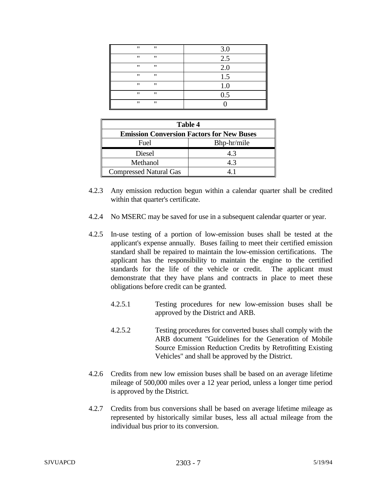| $^{\prime\prime}$<br>"                 | 3.0 |
|----------------------------------------|-----|
| $^{\prime\prime}$<br>$^{\prime\prime}$ | 2.5 |
| $^{\prime\prime}$<br>"                 | 2.0 |
| "<br>"                                 | 1.5 |
| $^{\prime\prime}$<br>"                 | 1.0 |
| "<br>$^{\prime\prime}$                 | 0.5 |
| "<br>$^{\prime\prime}$                 |     |

| <b>Table 4</b>                                   |     |  |  |
|--------------------------------------------------|-----|--|--|
| <b>Emission Conversion Factors for New Buses</b> |     |  |  |
| Bhp-hr/mile<br>Fuel                              |     |  |  |
| Diesel                                           | 4.3 |  |  |
| Methanol                                         | 4.3 |  |  |
| <b>Compressed Natural Gas</b>                    |     |  |  |

- 4.2.3 Any emission reduction begun within a calendar quarter shall be credited within that quarter's certificate.
- 4.2.4 No MSERC may be saved for use in a subsequent calendar quarter or year.
- 4.2.5 In-use testing of a portion of low-emission buses shall be tested at the applicant's expense annually. Buses failing to meet their certified emission standard shall be repaired to maintain the low-emission certifications. The applicant has the responsibility to maintain the engine to the certified standards for the life of the vehicle or credit. The applicant must demonstrate that they have plans and contracts in place to meet these obligations before credit can be granted.
	- 4.2.5.1 Testing procedures for new low-emission buses shall be approved by the District and ARB.
	- 4.2.5.2 Testing procedures for converted buses shall comply with the ARB document "Guidelines for the Generation of Mobile Source Emission Reduction Credits by Retrofitting Existing Vehicles" and shall be approved by the District.
- 4.2.6 Credits from new low emission buses shall be based on an average lifetime mileage of 500,000 miles over a 12 year period, unless a longer time period is approved by the District.
- 4.2.7 Credits from bus conversions shall be based on average lifetime mileage as represented by historically similar buses, less all actual mileage from the individual bus prior to its conversion.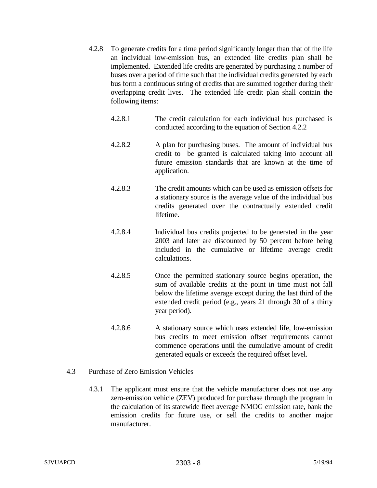- 4.2.8 To generate credits for a time period significantly longer than that of the life an individual low-emission bus, an extended life credits plan shall be implemented. Extended life credits are generated by purchasing a number of buses over a period of time such that the individual credits generated by each bus form a continuous string of credits that are summed together during their overlapping credit lives. The extended life credit plan shall contain the following items:
	- 4.2.8.1 The credit calculation for each individual bus purchased is conducted according to the equation of Section 4.2.2
	- 4.2.8.2 A plan for purchasing buses. The amount of individual bus credit to be granted is calculated taking into account all future emission standards that are known at the time of application.
	- 4.2.8.3 The credit amounts which can be used as emission offsets for a stationary source is the average value of the individual bus credits generated over the contractually extended credit lifetime.
	- 4.2.8.4 Individual bus credits projected to be generated in the year 2003 and later are discounted by 50 percent before being included in the cumulative or lifetime average credit calculations.
	- 4.2.8.5 Once the permitted stationary source begins operation, the sum of available credits at the point in time must not fall below the lifetime average except during the last third of the extended credit period (e.g., years 21 through 30 of a thirty year period).
	- 4.2.8.6 A stationary source which uses extended life, low-emission bus credits to meet emission offset requirements cannot commence operations until the cumulative amount of credit generated equals or exceeds the required offset level.
- 4.3 Purchase of Zero Emission Vehicles
	- 4.3.1 The applicant must ensure that the vehicle manufacturer does not use any zero-emission vehicle (ZEV) produced for purchase through the program in the calculation of its statewide fleet average NMOG emission rate, bank the emission credits for future use, or sell the credits to another major manufacturer.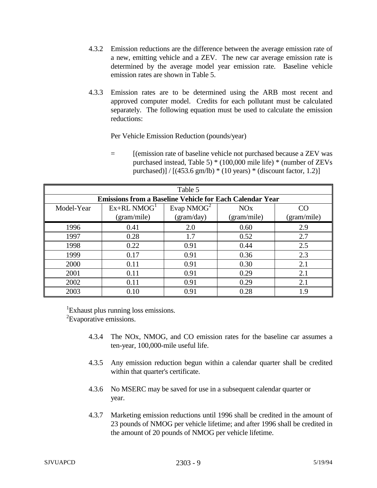- 4.3.2 Emission reductions are the difference between the average emission rate of a new, emitting vehicle and a ZEV. The new car average emission rate is determined by the average model year emission rate. Baseline vehicle emission rates are shown in Table 5.
- 4.3.3 Emission rates are to be determined using the ARB most recent and approved computer model. Credits for each pollutant must be calculated separately. The following equation must be used to calculate the emission reductions:

Per Vehicle Emission Reduction (pounds/year)

= [(emission rate of baseline vehicle not purchased because a ZEV was purchased instead, Table 5) \* (100,000 mile life) \* (number of ZEVs purchased)] /  $[(453.6 \text{ gm/lb}) * (10 \text{ years}) * (discount factor, 1.2)]$ 

| Table 5    |                                                                 |            |             |             |  |  |  |
|------------|-----------------------------------------------------------------|------------|-------------|-------------|--|--|--|
|            | <b>Emissions from a Baseline Vehicle for Each Calendar Year</b> |            |             |             |  |  |  |
| Model-Year | CO                                                              |            |             |             |  |  |  |
|            | (gram/mile)                                                     | (gram/day) | (gram/mile) | (gram/mile) |  |  |  |
| 1996       | 0.41                                                            | 2.0        | 0.60        | 2.9         |  |  |  |
| 1997       | 0.28                                                            | 1.7        | 0.52        | 2.7         |  |  |  |
| 1998       | 0.22                                                            | 0.91       | 0.44        | 2.5         |  |  |  |
| 1999       | 0.17                                                            | 0.91       | 0.36        | 2.3         |  |  |  |
| 2000       | 0.11                                                            | 0.91       | 0.30        | 2.1         |  |  |  |
| 2001       | 0.11                                                            | 0.91       | 0.29        | 2.1         |  |  |  |
| 2002       | 0.11                                                            | 0.91       | 0.29        | 2.1         |  |  |  |
| 2003       | 0.10                                                            | 0.91       | 0.28        | 1.9         |  |  |  |

<sup>1</sup>Exhaust plus running loss emissions.

<sup>2</sup>Evaporative emissions.

- 4.3.4 The NOx, NMOG, and CO emission rates for the baseline car assumes a ten-year, 100,000-mile useful life.
- 4.3.5 Any emission reduction begun within a calendar quarter shall be credited within that quarter's certificate.
- 4.3.6 No MSERC may be saved for use in a subsequent calendar quarter or year.
- 4.3.7 Marketing emission reductions until 1996 shall be credited in the amount of 23 pounds of NMOG per vehicle lifetime; and after 1996 shall be credited in the amount of 20 pounds of NMOG per vehicle lifetime.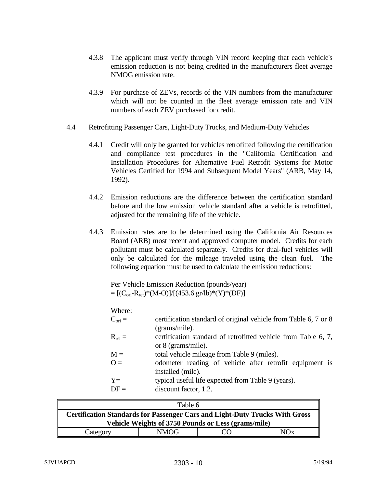- 4.3.8 The applicant must verify through VIN record keeping that each vehicle's emission reduction is not being credited in the manufacturers fleet average NMOG emission rate.
- 4.3.9 For purchase of ZEVs, records of the VIN numbers from the manufacturer which will not be counted in the fleet average emission rate and VIN numbers of each ZEV purchased for credit.
- 4.4 Retrofitting Passenger Cars, Light-Duty Trucks, and Medium-Duty Vehicles
	- 4.4.1 Credit will only be granted for vehicles retrofitted following the certification and compliance test procedures in the "California Certification and Installation Procedures for Alternative Fuel Retrofit Systems for Motor Vehicles Certified for 1994 and Subsequent Model Years" (ARB, May 14, 1992).
	- 4.4.2 Emission reductions are the difference between the certification standard before and the low emission vehicle standard after a vehicle is retrofitted, adjusted for the remaining life of the vehicle.
	- 4.4.3 Emission rates are to be determined using the California Air Resources Board (ARB) most recent and approved computer model. Credits for each pollutant must be calculated separately. Credits for dual-fuel vehicles will only be calculated for the mileage traveled using the clean fuel. The following equation must be used to calculate the emission reductions:

Per Vehicle Emission Reduction (pounds/year)  $=[(C_{\text{ori}}-R_{\text{ret}})*(M-O)]/[(453.6 \text{ gr/lb})*(Y)*(DF)]$ 

Where:

| VV LICIC.          |                                                                 |
|--------------------|-----------------------------------------------------------------|
| $C_{\text{ori}} =$ | certification standard of original vehicle from Table 6, 7 or 8 |
|                    | (grams/mile).                                                   |
| $R_{\text{ret}} =$ | certification standard of retrofitted vehicle from Table 6, 7,  |
|                    | or $8$ (grams/mile).                                            |
| $M =$              | total vehicle mileage from Table 9 (miles).                     |
| $Q =$              | odometer reading of vehicle after retrofit equipment is         |
|                    | installed (mile).                                               |
| $Y=$               | typical useful life expected from Table 9 (years).              |
| $DF =$             | discount factor, 1.2.                                           |
|                    |                                                                 |

| Table 6                                                                            |  |  |  |  |  |  |
|------------------------------------------------------------------------------------|--|--|--|--|--|--|
| <b>Certification Standards for Passenger Cars and Light-Duty Trucks With Gross</b> |  |  |  |  |  |  |
| Vehicle Weights of 3750 Pounds or Less (grams/mile)                                |  |  |  |  |  |  |
| NMOG-<br>NOx<br>Category<br>( `( )                                                 |  |  |  |  |  |  |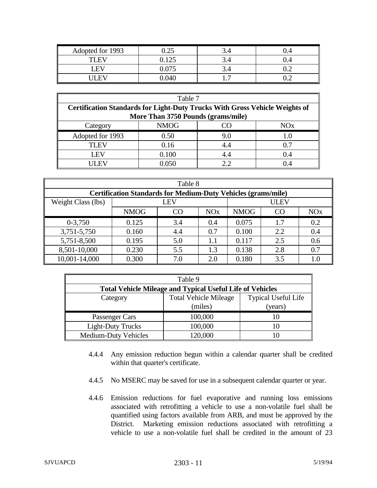| Adopted for 1993 | $0.25\,$ | ◡・─ |     |
|------------------|----------|-----|-----|
| TI FV            | 0.125    | ◡・─ |     |
| LEV              | 0.075    | ◡-  | ے . |
| . .              | 0.040    | .   | ◡   |

| Table 7                                                                            |                                    |     |       |  |  |  |  |  |
|------------------------------------------------------------------------------------|------------------------------------|-----|-------|--|--|--|--|--|
| <b>Certification Standards for Light-Duty Trucks With Gross Vehicle Weights of</b> |                                    |     |       |  |  |  |  |  |
|                                                                                    | More Than 3750 Pounds (grams/mile) |     |       |  |  |  |  |  |
| Category                                                                           | <b>NMOG</b><br>NOx<br>$\alpha$     |     |       |  |  |  |  |  |
| Adopted for 1993                                                                   | 0.50                               | 9.0 | 1.0   |  |  |  |  |  |
| TLEV<br>0.7<br>0.16<br>4.4                                                         |                                    |     |       |  |  |  |  |  |
| 0.100<br>I EV<br>4.4<br>0.4                                                        |                                    |     |       |  |  |  |  |  |
| <b>LEV</b>                                                                         | 0.050                              | 22  | (1.4) |  |  |  |  |  |

| Table 8                                                              |                                                                                          |     |         |       |             |     |  |
|----------------------------------------------------------------------|------------------------------------------------------------------------------------------|-----|---------|-------|-------------|-----|--|
| <b>Certification Standards for Medium-Duty Vehicles (grams/mile)</b> |                                                                                          |     |         |       |             |     |  |
| Weight Class (lbs)                                                   |                                                                                          | LEV |         |       | <b>ULEV</b> |     |  |
|                                                                      | CO<br><b>NO<sub>x</sub></b><br><b>NMOG</b><br><b>NMOG</b><br>CO<br><b>NO<sub>x</sub></b> |     |         |       |             |     |  |
| $0-3,750$                                                            | 0.125                                                                                    | 3.4 | 0.4     | 0.075 | 1.7         | 0.2 |  |
| 3,751-5,750                                                          | 0.160                                                                                    | 4.4 | 0.7     | 0.100 | 2.2         | 0.4 |  |
| 5,751-8,500                                                          | 0.195                                                                                    | 5.0 | $1.1\,$ | 0.117 | 2.5         | 0.6 |  |
| 8,501-10,000                                                         | 0.230                                                                                    | 5.5 | 1.3     | 0.138 | 2.8         | 0.7 |  |
| 10,001-14,000                                                        | 0.300<br>3.5<br>0.180<br>2.0<br>7.0<br>$1.0\,$                                           |     |         |       |             |     |  |

|                                                                  | Table 9                      |                            |
|------------------------------------------------------------------|------------------------------|----------------------------|
| <b>Total Vehicle Mileage and Typical Useful Life of Vehicles</b> |                              |                            |
| Category                                                         | <b>Total Vehicle Mileage</b> | <b>Typical Useful Life</b> |
|                                                                  | (miles)                      | (years)                    |
| Passenger Cars                                                   | 100,000                      | 10                         |
| <b>Light-Duty Trucks</b>                                         | 100,000                      | 10                         |
| <b>Medium-Duty Vehicles</b>                                      | 120,000                      |                            |

- 4.4.4 Any emission reduction begun within a calendar quarter shall be credited within that quarter's certificate.
- 4.4.5 No MSERC may be saved for use in a subsequent calendar quarter or year.
- 4.4.6 Emission reductions for fuel evaporative and running loss emissions associated with retrofitting a vehicle to use a non-volatile fuel shall be quantified using factors available from ARB, and must be approved by the District. Marketing emission reductions associated with retrofitting a vehicle to use a non-volatile fuel shall be credited in the amount of 23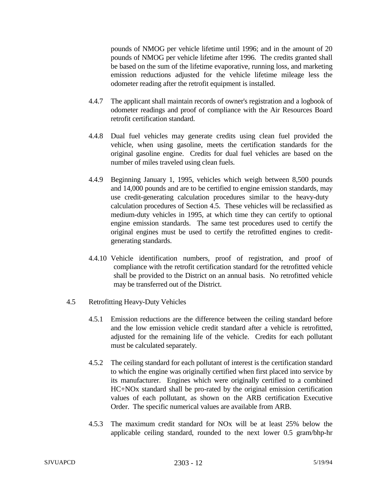pounds of NMOG per vehicle lifetime until 1996; and in the amount of 20 pounds of NMOG per vehicle lifetime after 1996. The credits granted shall be based on the sum of the lifetime evaporative, running loss, and marketing emission reductions adjusted for the vehicle lifetime mileage less the odometer reading after the retrofit equipment is installed.

- 4.4.7 The applicant shall maintain records of owner's registration and a logbook of odometer readings and proof of compliance with the Air Resources Board retrofit certification standard.
- 4.4.8 Dual fuel vehicles may generate credits using clean fuel provided the vehicle, when using gasoline, meets the certification standards for the original gasoline engine. Credits for dual fuel vehicles are based on the number of miles traveled using clean fuels.
- 4.4.9 Beginning January 1, 1995, vehicles which weigh between 8,500 pounds and 14,000 pounds and are to be certified to engine emission standards, may use credit-generating calculation procedures similar to the heavy-duty calculation procedures of Section 4.5. These vehicles will be reclassified as medium-duty vehicles in 1995, at which time they can certify to optional engine emission standards. The same test procedures used to certify the original engines must be used to certify the retrofitted engines to creditgenerating standards.
- 4.4.10 Vehicle identification numbers, proof of registration, and proof of compliance with the retrofit certification standard for the retrofitted vehicle shall be provided to the District on an annual basis. No retrofitted vehicle may be transferred out of the District.
- 4.5 Retrofitting Heavy-Duty Vehicles
	- 4.5.1 Emission reductions are the difference between the ceiling standard before and the low emission vehicle credit standard after a vehicle is retrofitted, adjusted for the remaining life of the vehicle. Credits for each pollutant must be calculated separately.
	- 4.5.2 The ceiling standard for each pollutant of interest is the certification standard to which the engine was originally certified when first placed into service by its manufacturer. Engines which were originally certified to a combined HC+NOx standard shall be pro-rated by the original emission certification values of each pollutant, as shown on the ARB certification Executive Order. The specific numerical values are available from ARB.
	- 4.5.3 The maximum credit standard for NOx will be at least 25% below the applicable ceiling standard, rounded to the next lower 0.5 gram/bhp-hr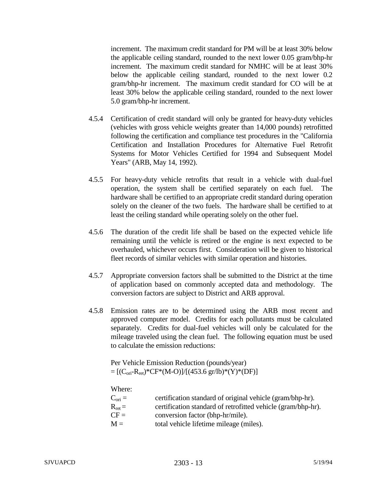increment. The maximum credit standard for PM will be at least 30% below the applicable ceiling standard, rounded to the next lower 0.05 gram/bhp-hr increment. The maximum credit standard for NMHC will be at least 30% below the applicable ceiling standard, rounded to the next lower 0.2 gram/bhp-hr increment. The maximum credit standard for CO will be at least 30% below the applicable ceiling standard, rounded to the next lower 5.0 gram/bhp-hr increment.

- 4.5.4 Certification of credit standard will only be granted for heavy-duty vehicles (vehicles with gross vehicle weights greater than 14,000 pounds) retrofitted following the certification and compliance test procedures in the "California Certification and Installation Procedures for Alternative Fuel Retrofit Systems for Motor Vehicles Certified for 1994 and Subsequent Model Years" (ARB, May 14, 1992).
- 4.5.5 For heavy-duty vehicle retrofits that result in a vehicle with dual-fuel operation, the system shall be certified separately on each fuel. hardware shall be certified to an appropriate credit standard during operation solely on the cleaner of the two fuels. The hardware shall be certified to at least the ceiling standard while operating solely on the other fuel.
- 4.5.6 The duration of the credit life shall be based on the expected vehicle life remaining until the vehicle is retired or the engine is next expected to be overhauled, whichever occurs first. Consideration will be given to historical fleet records of similar vehicles with similar operation and histories.
- 4.5.7 Appropriate conversion factors shall be submitted to the District at the time of application based on commonly accepted data and methodology. The conversion factors are subject to District and ARB approval.
- 4.5.8 Emission rates are to be determined using the ARB most recent and approved computer model. Credits for each pollutants must be calculated separately. Credits for dual-fuel vehicles will only be calculated for the mileage traveled using the clean fuel. The following equation must be used to calculate the emission reductions:

Per Vehicle Emission Reduction (pounds/year)  $= [(C_{\text{ori}}-R_{\text{ret}})*CF*(M-O)]/[(453.6 \text{ gr/lb})*(Y)*(DF)]$ 

## Where:

| $C_{\text{ori}} =$ | certification standard of original vehicle (gram/bhp-hr).    |
|--------------------|--------------------------------------------------------------|
| $R_{\text{ret}} =$ | certification standard of retrofitted vehicle (gram/bhp-hr). |
| $CF =$             | conversion factor (bhp-hr/mile).                             |
| $M =$              | total vehicle lifetime mileage (miles).                      |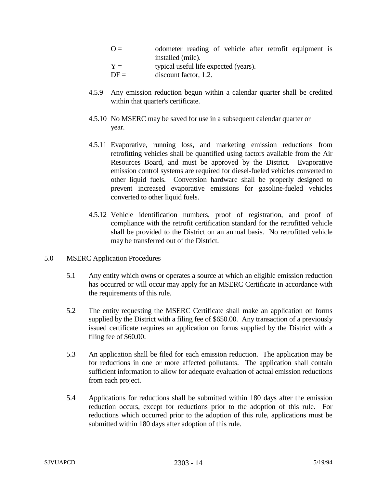- $Q =$  odometer reading of vehicle after retrofit equipment is installed (mile).  $Y =$  typical useful life expected (years).
- $DF =$  discount factor, 1.2.
- 4.5.9 Any emission reduction begun within a calendar quarter shall be credited within that quarter's certificate.
- 4.5.10 No MSERC may be saved for use in a subsequent calendar quarter or year.
- 4.5.11 Evaporative, running loss, and marketing emission reductions from retrofitting vehicles shall be quantified using factors available from the Air Resources Board, and must be approved by the District. Evaporative emission control systems are required for diesel-fueled vehicles converted to other liquid fuels. Conversion hardware shall be properly designed to prevent increased evaporative emissions for gasoline-fueled vehicles converted to other liquid fuels.
- 4.5.12 Vehicle identification numbers, proof of registration, and proof of compliance with the retrofit certification standard for the retrofitted vehicle shall be provided to the District on an annual basis. No retrofitted vehicle may be transferred out of the District.
- 5.0 MSERC Application Procedures
	- 5.1 Any entity which owns or operates a source at which an eligible emission reduction has occurred or will occur may apply for an MSERC Certificate in accordance with the requirements of this rule.
	- 5.2 The entity requesting the MSERC Certificate shall make an application on forms supplied by the District with a filing fee of \$650.00. Any transaction of a previously issued certificate requires an application on forms supplied by the District with a filing fee of \$60.00.
	- 5.3 An application shall be filed for each emission reduction. The application may be for reductions in one or more affected pollutants. The application shall contain sufficient information to allow for adequate evaluation of actual emission reductions from each project.
	- 5.4 Applications for reductions shall be submitted within 180 days after the emission reduction occurs, except for reductions prior to the adoption of this rule. For reductions which occurred prior to the adoption of this rule, applications must be submitted within 180 days after adoption of this rule.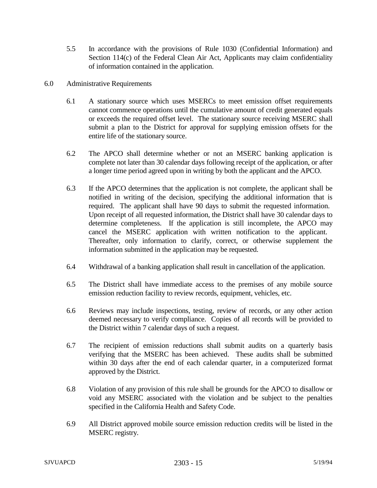- 5.5 In accordance with the provisions of Rule 1030 (Confidential Information) and Section 114(c) of the Federal Clean Air Act, Applicants may claim confidentiality of information contained in the application.
- 6.0 Administrative Requirements
	- 6.1 A stationary source which uses MSERCs to meet emission offset requirements cannot commence operations until the cumulative amount of credit generated equals or exceeds the required offset level. The stationary source receiving MSERC shall submit a plan to the District for approval for supplying emission offsets for the entire life of the stationary source.
	- 6.2 The APCO shall determine whether or not an MSERC banking application is complete not later than 30 calendar days following receipt of the application, or after a longer time period agreed upon in writing by both the applicant and the APCO.
	- 6.3 If the APCO determines that the application is not complete, the applicant shall be notified in writing of the decision, specifying the additional information that is required. The applicant shall have 90 days to submit the requested information. Upon receipt of all requested information, the District shall have 30 calendar days to determine completeness. If the application is still incomplete, the APCO may cancel the MSERC application with written notification to the applicant. Thereafter, only information to clarify, correct, or otherwise supplement the information submitted in the application may be requested.
	- 6.4 Withdrawal of a banking application shall result in cancellation of the application.
	- 6.5 The District shall have immediate access to the premises of any mobile source emission reduction facility to review records, equipment, vehicles, etc.
	- 6.6 Reviews may include inspections, testing, review of records, or any other action deemed necessary to verify compliance. Copies of all records will be provided to the District within 7 calendar days of such a request.
	- 6.7 The recipient of emission reductions shall submit audits on a quarterly basis verifying that the MSERC has been achieved. These audits shall be submitted within 30 days after the end of each calendar quarter, in a computerized format approved by the District.
	- 6.8 Violation of any provision of this rule shall be grounds for the APCO to disallow or void any MSERC associated with the violation and be subject to the penalties specified in the California Health and Safety Code.
	- 6.9 All District approved mobile source emission reduction credits will be listed in the MSERC registry.